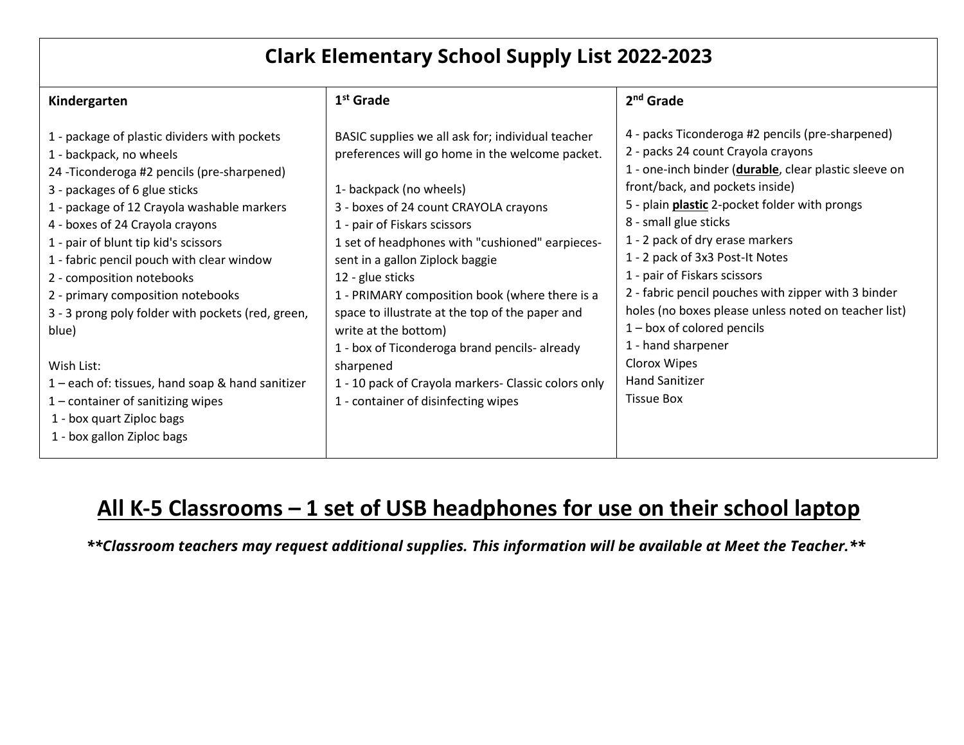## **Clark Elementary School Supply List 2022-2023**

| Kindergarten                                                                                                                                                                                                                                                                                                                                                                                                                                                                                                                                                                                                                      | $1st$ Grade                                                                                                                                                                                                                                                                                                                                                                                                                                                                                                                                                                                                 | $2nd$ Grade                                                                                                                                                                                                                                                                                                                                                                                                                                                                                                                                                                                           |
|-----------------------------------------------------------------------------------------------------------------------------------------------------------------------------------------------------------------------------------------------------------------------------------------------------------------------------------------------------------------------------------------------------------------------------------------------------------------------------------------------------------------------------------------------------------------------------------------------------------------------------------|-------------------------------------------------------------------------------------------------------------------------------------------------------------------------------------------------------------------------------------------------------------------------------------------------------------------------------------------------------------------------------------------------------------------------------------------------------------------------------------------------------------------------------------------------------------------------------------------------------------|-------------------------------------------------------------------------------------------------------------------------------------------------------------------------------------------------------------------------------------------------------------------------------------------------------------------------------------------------------------------------------------------------------------------------------------------------------------------------------------------------------------------------------------------------------------------------------------------------------|
| 1 - package of plastic dividers with pockets<br>1 - backpack, no wheels<br>24 - Ticonderoga #2 pencils (pre-sharpened)<br>3 - packages of 6 glue sticks<br>1 - package of 12 Crayola washable markers<br>4 - boxes of 24 Crayola crayons<br>1 - pair of blunt tip kid's scissors<br>1 - fabric pencil pouch with clear window<br>2 - composition notebooks<br>2 - primary composition notebooks<br>3 - 3 prong poly folder with pockets (red, green,<br>blue)<br>Wish List:<br>1 – each of: tissues, hand soap & hand sanitizer<br>$1$ – container of sanitizing wipes<br>1 - box quart Ziploc bags<br>1 - box gallon Ziploc bags | BASIC supplies we all ask for; individual teacher<br>preferences will go home in the welcome packet.<br>1- backpack (no wheels)<br>3 - boxes of 24 count CRAYOLA crayons<br>1 - pair of Fiskars scissors<br>1 set of headphones with "cushioned" earpieces-<br>sent in a gallon Ziplock baggie<br>12 - glue sticks<br>1 - PRIMARY composition book (where there is a<br>space to illustrate at the top of the paper and<br>write at the bottom)<br>1 - box of Ticonderoga brand pencils- already<br>sharpened<br>1 - 10 pack of Crayola markers- Classic colors only<br>1 - container of disinfecting wipes | 4 - packs Ticonderoga #2 pencils (pre-sharpened)<br>2 - packs 24 count Crayola crayons<br>1 - one-inch binder (durable, clear plastic sleeve on<br>front/back, and pockets inside)<br>5 - plain plastic 2-pocket folder with prongs<br>8 - small glue sticks<br>1 - 2 pack of dry erase markers<br>1 - 2 pack of 3x3 Post-It Notes<br>1 - pair of Fiskars scissors<br>2 - fabric pencil pouches with zipper with 3 binder<br>holes (no boxes please unless noted on teacher list)<br>$1 - box$ of colored pencils<br>1 - hand sharpener<br>Clorox Wipes<br><b>Hand Sanitizer</b><br><b>Tissue Box</b> |
|                                                                                                                                                                                                                                                                                                                                                                                                                                                                                                                                                                                                                                   |                                                                                                                                                                                                                                                                                                                                                                                                                                                                                                                                                                                                             |                                                                                                                                                                                                                                                                                                                                                                                                                                                                                                                                                                                                       |

# **All K-5 Classrooms – 1 set of USB headphones for use on their school laptop**

*\*\*Classroom teachers may request additional supplies. This information will be available at Meet the Teacher.\*\**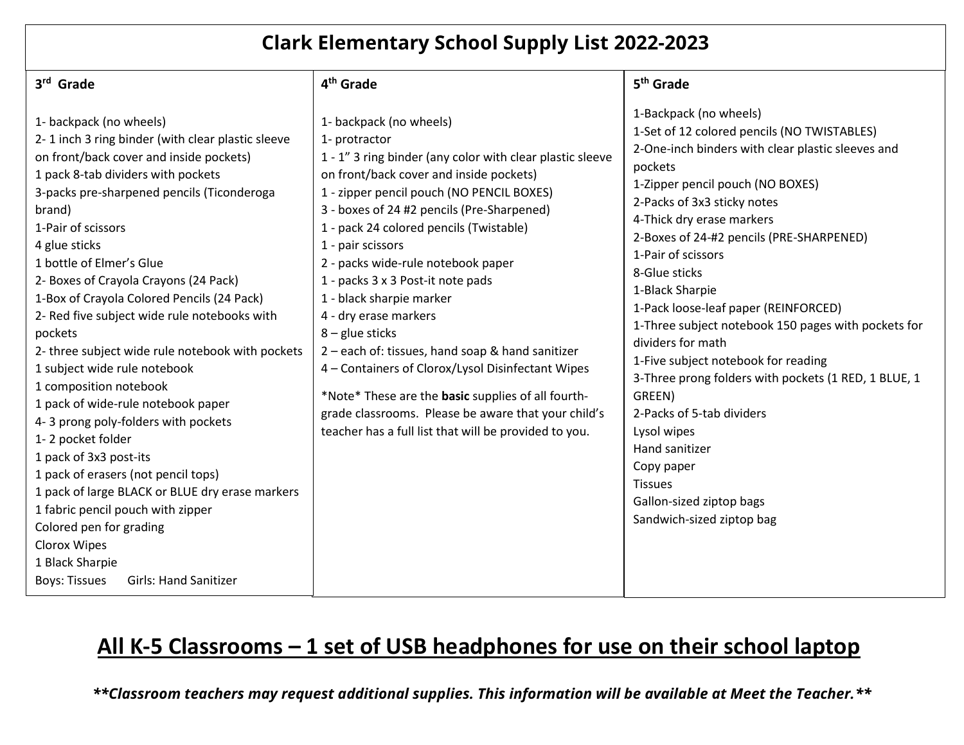## **Clark Elementary School Supply List 2022-2023**

| 3rd Grade                                                                                                                                                                                                                                                                                                                                                                                                                                                                                                                                                                                                                                                                                                                                                                                                                                                                                                                                 | 4 <sup>th</sup> Grade                                                                                                                                                                                                                                                                                                                                                                                                                                                                                                                                                                                                                                                                                                                           | 5 <sup>th</sup> Grade                                                                                                                                                                                                                                                                                                                                                                                                                                                                                                                                                                                                                                                                                                           |
|-------------------------------------------------------------------------------------------------------------------------------------------------------------------------------------------------------------------------------------------------------------------------------------------------------------------------------------------------------------------------------------------------------------------------------------------------------------------------------------------------------------------------------------------------------------------------------------------------------------------------------------------------------------------------------------------------------------------------------------------------------------------------------------------------------------------------------------------------------------------------------------------------------------------------------------------|-------------------------------------------------------------------------------------------------------------------------------------------------------------------------------------------------------------------------------------------------------------------------------------------------------------------------------------------------------------------------------------------------------------------------------------------------------------------------------------------------------------------------------------------------------------------------------------------------------------------------------------------------------------------------------------------------------------------------------------------------|---------------------------------------------------------------------------------------------------------------------------------------------------------------------------------------------------------------------------------------------------------------------------------------------------------------------------------------------------------------------------------------------------------------------------------------------------------------------------------------------------------------------------------------------------------------------------------------------------------------------------------------------------------------------------------------------------------------------------------|
| 1- backpack (no wheels)<br>2-1 inch 3 ring binder (with clear plastic sleeve<br>on front/back cover and inside pockets)<br>1 pack 8-tab dividers with pockets<br>3-packs pre-sharpened pencils (Ticonderoga<br>brand)<br>1-Pair of scissors<br>4 glue sticks<br>1 bottle of Elmer's Glue<br>2- Boxes of Crayola Crayons (24 Pack)<br>1-Box of Crayola Colored Pencils (24 Pack)<br>2- Red five subject wide rule notebooks with<br>pockets<br>2- three subject wide rule notebook with pockets<br>1 subject wide rule notebook<br>1 composition notebook<br>1 pack of wide-rule notebook paper<br>4-3 prong poly-folders with pockets<br>1-2 pocket folder<br>1 pack of 3x3 post-its<br>1 pack of erasers (not pencil tops)<br>1 pack of large BLACK or BLUE dry erase markers<br>1 fabric pencil pouch with zipper<br>Colored pen for grading<br>Clorox Wipes<br>1 Black Sharpie<br><b>Boys: Tissues</b><br><b>Girls: Hand Sanitizer</b> | 1- backpack (no wheels)<br>1- protractor<br>1 - 1" 3 ring binder (any color with clear plastic sleeve<br>on front/back cover and inside pockets)<br>1 - zipper pencil pouch (NO PENCIL BOXES)<br>3 - boxes of 24 #2 pencils (Pre-Sharpened)<br>1 - pack 24 colored pencils (Twistable)<br>1 - pair scissors<br>2 - packs wide-rule notebook paper<br>1 - packs 3 x 3 Post-it note pads<br>1 - black sharpie marker<br>4 - dry erase markers<br>$8 -$ glue sticks<br>2 - each of: tissues, hand soap & hand sanitizer<br>4 - Containers of Clorox/Lysol Disinfectant Wipes<br>*Note* These are the basic supplies of all fourth-<br>grade classrooms. Please be aware that your child's<br>teacher has a full list that will be provided to you. | 1-Backpack (no wheels)<br>1-Set of 12 colored pencils (NO TWISTABLES)<br>2-One-inch binders with clear plastic sleeves and<br>pockets<br>1-Zipper pencil pouch (NO BOXES)<br>2-Packs of 3x3 sticky notes<br>4-Thick dry erase markers<br>2-Boxes of 24-#2 pencils (PRE-SHARPENED)<br>1-Pair of scissors<br>8-Glue sticks<br>1-Black Sharpie<br>1-Pack loose-leaf paper (REINFORCED)<br>1-Three subject notebook 150 pages with pockets for<br>dividers for math<br>1-Five subject notebook for reading<br>3-Three prong folders with pockets (1 RED, 1 BLUE, 1<br>GREEN)<br>2-Packs of 5-tab dividers<br>Lysol wipes<br>Hand sanitizer<br>Copy paper<br><b>Tissues</b><br>Gallon-sized ziptop bags<br>Sandwich-sized ziptop bag |

# **All K-5 Classrooms – 1 set of USB headphones for use on their school laptop**

*\*\*Classroom teachers may request additional supplies. This information will be available at Meet the Teacher.\*\**